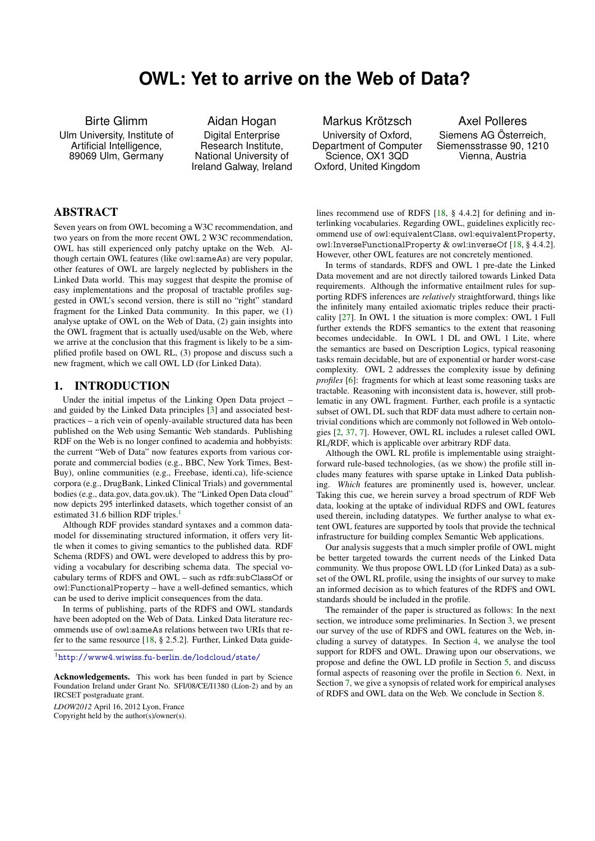# **OWL: Yet to arrive on the Web of Data?**

Birte Glimm Ulm University, Institute of Artificial Intelligence, 89069 Ulm, Germany

Aidan Hogan Digital Enterprise Research Institute, National University of Ireland Galway, Ireland

#### ABSTRACT

Seven years on from OWL becoming a W3C recommendation, and two years on from the more recent OWL 2 W3C recommendation, OWL has still experienced only patchy uptake on the Web. Although certain OWL features (like owl:sameAs) are very popular, other features of OWL are largely neglected by publishers in the Linked Data world. This may suggest that despite the promise of easy implementations and the proposal of tractable profiles suggested in OWL's second version, there is still no "right" standard fragment for the Linked Data community. In this paper, we (1) analyse uptake of OWL on the Web of Data, (2) gain insights into the OWL fragment that is actually used/usable on the Web, where we arrive at the conclusion that this fragment is likely to be a simplified profile based on OWL RL, (3) propose and discuss such a new fragment, which we call OWL LD (for Linked Data).

#### 1. INTRODUCTION

Under the initial impetus of the Linking Open Data project – and guided by the Linked Data principles [\[3\]](#page-8-0) and associated bestpractices – a rich vein of openly-available structured data has been published on the Web using Semantic Web standards. Publishing RDF on the Web is no longer confined to academia and hobbyists: the current "Web of Data" now features exports from various corporate and commercial bodies (e.g., BBC, New York Times, Best-Buy), online communities (e.g., Freebase, identi.ca), life-science corpora (e.g., DrugBank, Linked Clinical Trials) and governmental bodies (e.g., data.gov, data.gov.uk). The "Linked Open Data cloud" now depicts 295 interlinked datasets, which together consist of an estimated 3[1](#page-0-0).6 billion RDF triples.<sup>1</sup>

Although RDF provides standard syntaxes and a common datamodel for disseminating structured information, it offers very little when it comes to giving semantics to the published data. RDF Schema (RDFS) and OWL were developed to address this by providing a vocabulary for describing schema data. The special vocabulary terms of RDFS and OWL – such as rdfs:subClassOf or owl:FunctionalProperty – have a well-defined semantics, which can be used to derive implicit consequences from the data.

In terms of publishing, parts of the RDFS and OWL standards have been adopted on the Web of Data. Linked Data literature recommends use of owl:sameAs relations between two URIs that refer to the same resource [\[18,](#page-8-1) § 2.5.2]. Further, Linked Data guide-

<span id="page-0-0"></span><sup>1</sup><http://www4.wiwiss.fu-berlin.de/lodcloud/state/>

Acknowledgements. This work has been funded in part by Science Foundation Ireland under Grant No. SFI/08/CE/I1380 (Líon-2) and by an IRCSET postgraduate grant.

*LDOW2012* April 16, 2012 Lyon, France Copyright held by the author(s)/owner(s).

Markus Krötzsch University of Oxford, Department of Computer Science, OX1 3QD Oxford, United Kingdom

Axel Polleres Siemens AG Österreich, Siemensstrasse 90, 1210 Vienna, Austria

lines recommend use of RDFS [\[18,](#page-8-1) § 4.4.2] for defining and interlinking vocabularies. Regarding OWL, guidelines explicitly recommend use of owl:equivalentClass, owl:equivalentProperty, owl:InverseFunctionalProperty & owl:inverseOf [\[18,](#page-8-1) § 4.4.2]. However, other OWL features are not concretely mentioned.

In terms of standards, RDFS and OWL 1 pre-date the Linked Data movement and are not directly tailored towards Linked Data requirements. Although the informative entailment rules for supporting RDFS inferences are *relatively* straightforward, things like the infinitely many entailed axiomatic triples reduce their practicality [\[27\]](#page-8-2). In OWL 1 the situation is more complex: OWL 1 Full further extends the RDFS semantics to the extent that reasoning becomes undecidable. In OWL 1 DL and OWL 1 Lite, where the semantics are based on Description Logics, typical reasoning tasks remain decidable, but are of exponential or harder worst-case complexity. OWL 2 addresses the complexity issue by defining *profiles* [\[6\]](#page-8-3): fragments for which at least some reasoning tasks are tractable. Reasoning with inconsistent data is, however, still problematic in any OWL fragment. Further, each profile is a syntactic subset of OWL DL such that RDF data must adhere to certain nontrivial conditions which are commonly not followed in Web ontologies [\[2,](#page-8-4) [37,](#page-8-5) [7\]](#page-8-6). However, OWL RL includes a ruleset called OWL RL/RDF, which is applicable over arbitrary RDF data.

Although the OWL RL profile is implementable using straightforward rule-based technologies, (as we show) the profile still includes many features with sparse uptake in Linked Data publishing. *Which* features are prominently used is, however, unclear. Taking this cue, we herein survey a broad spectrum of RDF Web data, looking at the uptake of individual RDFS and OWL features used therein, including datatypes. We further analyse to what extent OWL features are supported by tools that provide the technical infrastructure for building complex Semantic Web applications.

Our analysis suggests that a much simpler profile of OWL might be better targeted towards the current needs of the Linked Data community. We thus propose OWL LD (for Linked Data) as a subset of the OWL RL profile, using the insights of our survey to make an informed decision as to which features of the RDFS and OWL standards should be included in the profile.

The remainder of the paper is structured as follows: In the next section, we introduce some preliminaries. In Section [3,](#page-2-0) we present our survey of the use of RDFS and OWL features on the Web, including a survey of datatypes. In Section [4,](#page-5-0) we analyse the tool support for RDFS and OWL. Drawing upon our observations, we propose and define the OWL LD profile in Section [5,](#page-5-1) and discuss formal aspects of reasoning over the profile in Section [6.](#page-6-0) Next, in Section [7,](#page-7-0) we give a synopsis of related work for empirical analyses of RDFS and OWL data on the Web. We conclude in Section [8.](#page-7-1)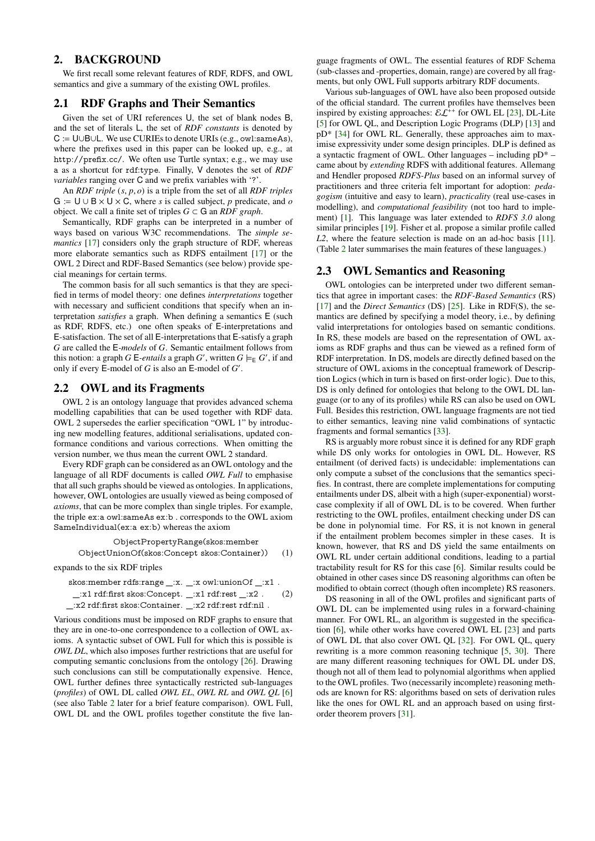## <span id="page-1-2"></span>2. BACKGROUND

We first recall some relevant features of RDF, RDFS, and OWL semantics and give a summary of the existing OWL profiles.

#### 2.1 RDF Graphs and Their Semantics

Given the set of URI references U, the set of blank nodes B, and the set of literals L, the set of *RDF constants* is denoted by C := U∪B∪L. We use CURIEs to denote URIs (e.g., owl:sameAs), where the prefixes used in this paper can be looked up, e.g., at http://prefix.cc/. We often use Turtle syntax; e.g., we may use a as a shortcut for rdf:type. Finally, V denotes the set of *RDF variables* ranging over C and we prefix variables with '?'.

An *RDF triple* (*s*, *<sup>p</sup>*, *<sup>o</sup>*) is a triple from the set of all *RDF triples*  $G := U \cup B \times U \times C$ , where *s* is called subject, *p* predicate, and *o* object. We call a finite set of triples  $G \subset G$  an *RDF graph*.

Semantically, RDF graphs can be interpreted in a number of ways based on various W3C recommendations. The *simple semantics* [\[17\]](#page-8-7) considers only the graph structure of RDF, whereas more elaborate semantics such as RDFS entailment [\[17\]](#page-8-7) or the OWL 2 Direct and RDF-Based Semantics (see below) provide special meanings for certain terms.

The common basis for all such semantics is that they are specified in terms of model theory: one defines *interpretations* together with necessary and sufficient conditions that specify when an interpretation *satisfies* a graph. When defining a semantics E (such as RDF, RDFS, etc.) one often speaks of E-interpretations and E-satisfaction. The set of all E-interpretations that E-satisfy a graph *G* are called the E*-models* of *G*. Semantic entailment follows from this notion: a graph *G* E-*entails* a graph *G*', written  $G \models_{\mathsf{E}} G'$ , if and only if every E-model of *G* is also an E-model of *G'*.

### <span id="page-1-0"></span>2.2 OWL and its Fragments

OWL 2 is an ontology language that provides advanced schema modelling capabilities that can be used together with RDF data. OWL 2 supersedes the earlier specification "OWL 1" by introducing new modelling features, additional serialisations, updated conformance conditions and various corrections. When omitting the version number, we thus mean the current OWL 2 standard.

Every RDF graph can be considered as an OWL ontology and the language of all RDF documents is called *OWL Full* to emphasise that all such graphs should be viewed as ontologies. In applications, however, OWL ontologies are usually viewed as being composed of *axioms*, that can be more complex than single triples. For example, the triple ex:a owl:sameAs ex:b . corresponds to the OWL axiom SameIndividual(ex:a ex:b) whereas the axiom

ObjectPropertyRange(skos:member

ObjectUnionOf(skos:Concept skos:Container)) (1) expands to the six RDF triples

skos:member rdfs:range \_:x. \_:x owl:unionOf \_:x1 .  $\pm$ :x1 rdf:first skos:Concept.  $\pm$ :x1 rdf:rest  $\pm$ :x2 . (2) \_:x2 rdf:first skos:Container. \_:x2 rdf:rest rdf:nil .

Various conditions must be imposed on RDF graphs to ensure that they are in one-to-one correspondence to a collection of OWL axioms. A syntactic subset of OWL Full for which this is possible is *OWL DL*, which also imposes further restrictions that are useful for computing semantic conclusions from the ontology [\[26\]](#page-8-8). Drawing such conclusions can still be computationally expensive. Hence, OWL further defines three syntactically restricted sub-languages (*profiles*) of OWL DL called *OWL EL*, *OWL RL* and *OWL QL* [\[6\]](#page-8-3) (see also Table [2](#page-3-0) later for a brief feature comparison). OWL Full, OWL DL and the OWL profiles together constitute the five language fragments of OWL. The essential features of RDF Schema (sub-classes and -properties, domain, range) are covered by all fragments, but only OWL Full supports arbitrary RDF documents.

Various sub-languages of OWL have also been proposed outside of the official standard. The current profiles have themselves been inspired by existing approaches:  $\mathcal{EL}^{++}$  for OWL EL [\[23\]](#page-8-9), DL-Lite [\[5\]](#page-8-10) for OWL QL, and Description Logic Programs (DLP) [\[13\]](#page-8-11) and pD\* [\[34\]](#page-8-12) for OWL RL. Generally, these approaches aim to maximise expressivity under some design principles. DLP is defined as a syntactic fragment of OWL. Other languages – including pD\* – came about by *extending* RDFS with additional features. Allemang and Hendler proposed *RDFS-Plus* based on an informal survey of practitioners and three criteria felt important for adoption: *pedagogism* (intuitive and easy to learn), *practicality* (real use-cases in modelling), and *computational feasibility* (not too hard to implement) [\[1\]](#page-8-13). This language was later extended to *RDFS 3.0* along similar principles [\[19\]](#page-8-14). Fisher et al. propose a similar profile called *L2*, where the feature selection is made on an ad-hoc basis [\[11\]](#page-8-15). (Table [2](#page-3-0) later summarises the main features of these languages.)

#### 2.3 OWL Semantics and Reasoning

OWL ontologies can be interpreted under two different semantics that agree in important cases: the *RDF-Based Semantics* (RS) [\[17\]](#page-8-7) and the *Direct Semantics* (DS) [\[25\]](#page-8-16). Like in RDF(S), the semantics are defined by specifying a model theory, i.e., by defining valid interpretations for ontologies based on semantic conditions. In RS, these models are based on the representation of OWL axioms as RDF graphs and thus can be viewed as a refined form of RDF interpretation. In DS, models are directly defined based on the structure of OWL axioms in the conceptual framework of Description Logics (which in turn is based on first-order logic). Due to this, DS is only defined for ontologies that belong to the OWL DL language (or to any of its profiles) while RS can also be used on OWL Full. Besides this restriction, OWL language fragments are not tied to either semantics, leaving nine valid combinations of syntactic fragments and formal semantics [\[33\]](#page-8-17).

RS is arguably more robust since it is defined for any RDF graph while DS only works for ontologies in OWL DL. However, RS entailment (of derived facts) is undecidable: implementations can only compute a subset of the conclusions that the semantics specifies. In contrast, there are complete implementations for computing entailments under DS, albeit with a high (super-exponential) worstcase complexity if all of OWL DL is to be covered. When further restricting to the OWL profiles, entailment checking under DS can be done in polynomial time. For RS, it is not known in general if the entailment problem becomes simpler in these cases. It is known, however, that RS and DS yield the same entailments on OWL RL under certain additional conditions, leading to a partial tractability result for RS for this case [\[6\]](#page-8-3). Similar results could be obtained in other cases since DS reasoning algorithms can often be modified to obtain correct (though often incomplete) RS reasoners.

<span id="page-1-1"></span>DS reasoning in all of the OWL profiles and significant parts of OWL DL can be implemented using rules in a forward-chaining manner. For OWL RL, an algorithm is suggested in the specification [\[6\]](#page-8-3), while other works have covered OWL EL [\[23\]](#page-8-9) and parts of OWL DL that also cover OWL QL [\[32\]](#page-8-18). For OWL QL, query rewriting is a more common reasoning technique [\[5,](#page-8-10) [30\]](#page-8-19). There are many different reasoning techniques for OWL DL under DS, though not all of them lead to polynomial algorithms when applied to the OWL profiles. Two (necessarily incomplete) reasoning methods are known for RS: algorithms based on sets of derivation rules like the ones for OWL RL and an approach based on using firstorder theorem provers [\[31\]](#page-8-20).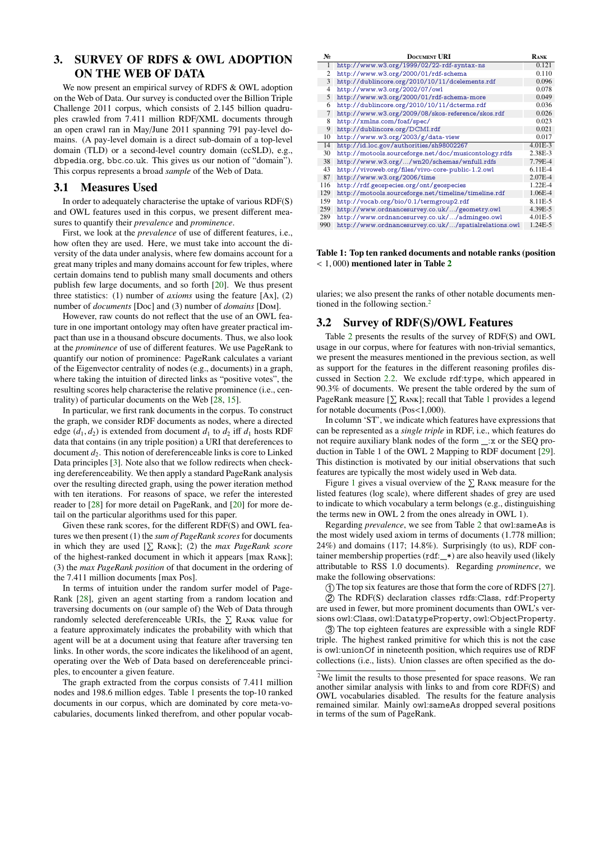## <span id="page-2-0"></span>3. SURVEY OF RDFS & OWL ADOPTION ON THE WEB OF DATA

We now present an empirical survey of RDFS & OWL adoption on the Web of Data. Our survey is conducted over the Billion Triple Challenge 2011 corpus, which consists of 2.145 billion quadruples crawled from 7.411 million RDF/XML documents through an open crawl ran in May/June 2011 spanning 791 pay-level domains. (A pay-level domain is a direct sub-domain of a top-level domain (TLD) or a second-level country domain (ccSLD), e.g., dbpedia.org, bbc.co.uk. This gives us our notion of "domain"). This corpus represents a broad *sample* of the Web of Data.

#### 3.1 Measures Used

In order to adequately characterise the uptake of various RDF(S) and OWL features used in this corpus, we present different measures to quantify their *prevalence* and *prominence*.

First, we look at the *prevalence* of use of different features, i.e., how often they are used. Here, we must take into account the diversity of the data under analysis, where few domains account for a great many triples and many domains account for few triples, where certain domains tend to publish many small documents and others publish few large documents, and so forth [\[20\]](#page-8-21). We thus present three statistics: (1) number of *axioms* using the feature [Ax], (2) number of *documents* [Doc] and (3) number of *domains* [Dom].

However, raw counts do not reflect that the use of an OWL feature in one important ontology may often have greater practical impact than use in a thousand obscure documents. Thus, we also look at the *prominence* of use of different features. We use PageRank to quantify our notion of prominence: PageRank calculates a variant of the Eigenvector centrality of nodes (e.g., documents) in a graph, where taking the intuition of directed links as "positive votes", the resulting scores help characterise the relative prominence (i.e., centrality) of particular documents on the Web [\[28,](#page-8-22) [15\]](#page-8-23).

In particular, we first rank documents in the corpus. To construct the graph, we consider RDF documents as nodes, where a directed edge  $(d_1, d_2)$  is extended from document  $d_1$  to  $d_2$  iff  $d_1$  hosts RDF data that contains (in any triple position) a URI that dereferences to document  $d_2$ . This notion of dereferenceable links is core to Linked Data principles [\[3\]](#page-8-0). Note also that we follow redirects when checking dereferenceability. We then apply a standard PageRank analysis over the resulting directed graph, using the power iteration method with ten iterations. For reasons of space, we refer the interested reader to [\[28\]](#page-8-22) for more detail on PageRank, and [\[20\]](#page-8-21) for more detail on the particular algorithms used for this paper.

Given these rank scores, for the different RDF(S) and OWL features we then present (1) the *sum of PageRank scores* for documents in which they are used  $[\sum RANK]$ ; (2) the *max PageRank score* of the highest-ranked document in which it appears [max Rank]; (3) the *max PageRank position* of that document in the ordering of the 7.411 million documents [max Pos].

In terms of intuition under the random surfer model of Page-Rank [\[28\]](#page-8-22), given an agent starting from a random location and traversing documents on (our sample of) the Web of Data through randomly selected dereferenceable URIs, the  $\Sigma$  RANK value for a feature approximately indicates the probability with which that agent will be at a document using that feature after traversing ten links. In other words, the score indicates the likelihood of an agent, operating over the Web of Data based on dereferenceable principles, to encounter a given feature.

The graph extracted from the corpus consists of 7.411 million nodes and 198.6 million edges. Table [1](#page-2-1) presents the top-10 ranked documents in our corpus, which are dominated by core meta-vocabularies, documents linked therefrom, and other popular vocab-

| N.             | <b>DOCUMENT URI</b>                                   | RANK        |
|----------------|-------------------------------------------------------|-------------|
| 1              | http://www.w3.org/1999/02/22-rdf-syntax-ns            | 0.121       |
| 2              | http://www.w3.org/2000/01/rdf-schema                  | 0.110       |
| 3              | http://dublincore.org/2010/10/11/dcelements.rdf       | 0.096       |
| $\overline{4}$ | http://www.w3.org/2002/07/owl                         | 0.078       |
| 5              | http://www.w3.org/2000/01/rdf-schema-more             | 0.049       |
| 6              | http://dublincore.org/2010/10/11/dcterms.rdf          | 0.036       |
| 7              | http://www.w3.org/2009/08/skos-reference/skos.rdf     | 0.026       |
| 8              | http://xmlns.com/foaf/spec/                           | 0.023       |
| 9              | http://dublincore.org/DCMI.rdf                        | 0.021       |
| 10             | http://www.w3.org/2003/g/data-view                    | 0.017       |
| 14             | http://id.loc.gov/authorities/sh98002267              | $4.01E - 3$ |
| 30             | http://motools.sourceforge.net/doc/musicontology.rdfs | 2.38E-3     |
| 38             | http://www.w3.org//wn20/schemas/wnfull.rdfs           | 7.79E-4     |
| 43             | http://vivoweb.org/files/vivo-core-public-1.2.owl     | $6.11E-4$   |
| 87             | http://www.w3.org/2006/time                           | $2.07E - 4$ |
| 116            | http://rdf.geospecies.org/ont/geospecies              | $1.22E - 4$ |
| 129            | http://motools.sourceforge.net/timeline/timeline.rdf  | 1.06E-4     |
| 159            | http://vocab.org/bio/0.1/termgroup2.rdf               | 8.11E-5     |
| 259            | http://www.ordnancesurvey.co.uk//geometry.owl         | 4.39E-5     |
| 289            | http://www.ordnancesurvey.co.uk//admingeo.owl         | $4.01E - 5$ |
| 990            | http://www.ordnancesurvey.co.uk//spatialrelations.owl | 1.24E-5     |

#### <span id="page-2-1"></span>Table 1: Top ten ranked documents and notable ranks (position  $<$  1,000) mentioned later in Table [2](#page-3-0)

ularies; we also present the ranks of other notable documents mentioned in the following section.[2](#page-2-2)

## 3.2 Survey of RDF(S)/OWL Features

Table [2](#page-3-0) presents the results of the survey of RDF(S) and OWL usage in our corpus, where for features with non-trivial semantics, we present the measures mentioned in the previous section, as well as support for the features in the different reasoning profiles discussed in Section [2.2.](#page-1-0) We exclude rdf:type, which appeared in 90.3% of documents. We present the table ordered by the sum of PageRank measure  $[\sum RANK]$ ; recall that Table [1](#page-2-1) provides a legend for notable documents (Pos<1,000).

In column 'ST', we indicate which features have expressions that can be represented as a *single triple* in RDF, i.e., which features do not require auxiliary blank nodes of the form \_:x or the SEQ production in Table 1 of the OWL 2 Mapping to RDF document [\[29\]](#page-8-24). This distinction is motivated by our initial observations that such features are typically the most widely used in Web data.

Figure [1](#page-4-0) gives a visual overview of the  $\Sigma$  RANK measure for the listed features (log scale), where different shades of grey are used to indicate to which vocabulary a term belongs (e.g., distinguishing the terms new in OWL 2 from the ones already in OWL 1).

Regarding *prevalence*, we see from Table [2](#page-3-0) that owl:sameAs is the most widely used axiom in terms of documents (1.778 million; 24%) and domains (117; 14.8%). Surprisingly (to us), RDF container membership properties (rdf:\_\*) are also heavily used (likely attributable to RSS 1.0 documents). Regarding *prominence*, we make the following observations:

1 The top six features are those that form the core of RDFS [\[27\]](#page-8-2).

 $\overline{Q}$ ) The RDF(S) declaration classes rdfs:Class, rdf:Property are used in fewer, but more prominent documents than OWL's versions owl:Class, owl:DatatypeProperty, owl:ObjectProperty.

3 The top eighteen features are expressible with a single RDF triple. The highest ranked primitive for which this is not the case is owl:unionOf in nineteenth position, which requires use of RDF collections (i.e., lists). Union classes are often specified as the do-

<span id="page-2-2"></span> $2\overline{2}$  We limit the results to those presented for space reasons. We ran another similar analysis with links to and from core RDF(S) and OWL vocabularies disabled. The results for the feature analysis remained similar. Mainly owl:sameAs dropped several positions in terms of the sum of PageRank.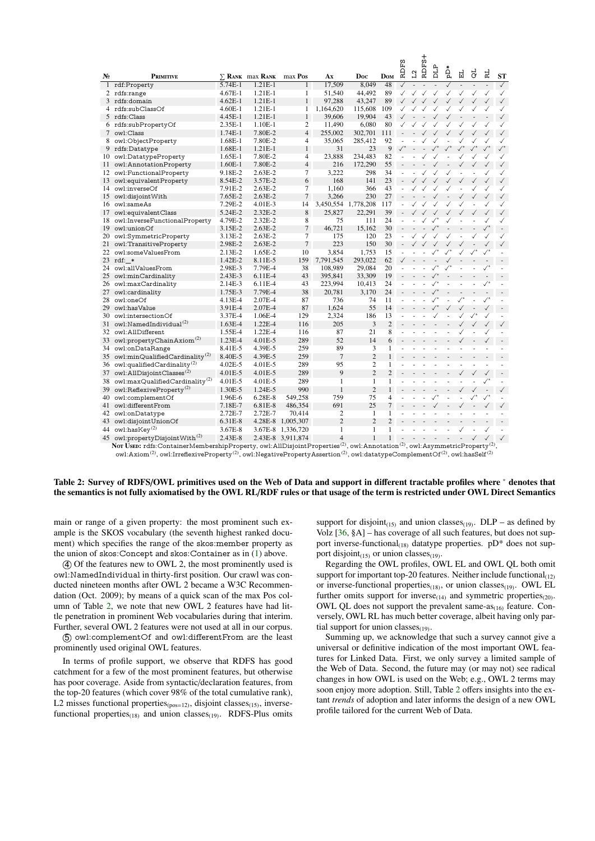| N. | <b>PRIMITIVE</b>                           |                    | $\Sigma$ RANK max RANK | max Pos           | Ax                    | Doc            | <b>D</b> <sub>OM</sub> | Ĕ.<br>RD.                | $\mathbf{L2}$ | <b>RDF</b>                             | DLP                     | ăq                       | 법               | ಕ                        | ΕĻ                | <b>ST</b>               |
|----|--------------------------------------------|--------------------|------------------------|-------------------|-----------------------|----------------|------------------------|--------------------------|---------------|----------------------------------------|-------------------------|--------------------------|-----------------|--------------------------|-------------------|-------------------------|
| 1  | rdf:Property                               | 5.74E-1            | $1.21E-1$              | 1                 | 17,509                | 8.049          | 48                     | $\checkmark$             |               |                                        |                         | $\checkmark$             | $\blacksquare$  |                          |                   | $\checkmark$            |
| 2  | rdfs:range                                 | $4.67E-1$          | $1.21E-1$              | 1                 | 51,540                | 44.492         | 89                     | ✓                        | ✓             | ✓                                      | $\checkmark$            | $\checkmark$             | ✓               | ✓                        | ✓                 | ✓                       |
| 3  | rdfs:domain                                | $4.62E-1$          | $1.21E-1$              | 1                 | 97.288                | 43.247         | 89                     |                          |               | $\checkmark$                           | $\checkmark$            | $\checkmark$             | ✓               | ✓                        | $\checkmark$      | $\checkmark$            |
| 4  | rdfs:subClassOf                            | $4.60E-1$          | $1.21E-1$              | 1                 | 1,164,620             | 115,608        | 109                    |                          |               |                                        |                         |                          |                 |                          |                   | ✓                       |
| 5  | rdfs:Class                                 | 4.45E-1            | $1.21E-1$              | $\mathbf{1}$      | 39,606                | 19,904         | 43                     |                          |               |                                        |                         |                          |                 |                          |                   | $\checkmark$            |
| 6. | rdfs:subPropertyOf                         | $2.35E-1$          | $1.10E-1$              | 2                 | 11.490                | 6.080          | 80                     | $\checkmark$             |               |                                        |                         | ✓                        | ✓               | ✓                        |                   | ✓                       |
| 7  | owl:Class                                  | $1.74E-1$          | 7.80E-2                | $\overline{4}$    | 255,002               | 302,701        | 111                    |                          |               |                                        |                         |                          |                 |                          |                   | $\checkmark$            |
| 8  | owl:ObjectProperty                         | $1.68E-1$          | 7.80E-2                | 4                 | 35,065                | 285.412        | 92                     | ÷,                       |               |                                        |                         |                          |                 | ✓                        | ✓                 | ✓                       |
| 9  | rdfs:Datatype                              | 1.68E-1            | $1.21E-1$              | 1                 | 31                    | 23             | 9                      | $\sqrt{\phantom{a}}$     |               |                                        |                         |                          |                 |                          |                   | $\surd\hspace{0.1cm}^*$ |
| 10 | owl:DatatypeProperty                       | 1.65E-1            | 7.80E-2                | $\overline{4}$    | 23.888                | 234,483        | 82                     | L                        |               | $\checkmark$                           |                         |                          |                 |                          |                   | ✓                       |
| 11 | owl:AnnotationProperty                     | $1.60E-1$          | 7.80E-2                | $\overline{4}$    | 216                   | 172,290        | 55                     |                          |               |                                        |                         |                          | ✓               |                          |                   |                         |
| 12 | owl:FunctionalProperty                     | 9.18E-2            | $2.63E-2$              | 7                 | 3,222                 | 298            | 34                     |                          |               |                                        |                         | ✓                        | ÷,              |                          |                   | ✓                       |
| 13 | owl:equivalentProperty                     | 8.54E-2            | 3.57E-2                | 6                 | 168                   | 141            | 23                     |                          |               | $\checkmark$                           | $\checkmark$            | $\checkmark$             | $\checkmark$    | $\checkmark$             | $\checkmark$      | $\checkmark$            |
| 14 | owl:inverseOf                              | 7.91E-2            | $2.63E-2$              | 7                 | 1.160                 | 366            | 43                     | ÷,                       |               |                                        |                         |                          | ä,              |                          | ✓                 | ✓                       |
| 15 | owl:disjointWith                           | 7.65E-2            | $2.63E-2$              | $\overline{7}$    | 3,266                 | 230            | 27                     | L.                       |               |                                        |                         |                          | ✓               | $\checkmark$             |                   |                         |
| 16 | owl:sameAs                                 | 7.29E-2            | $4.01E-3$              | 14                | 3,450,554             | 1,778,208      | 117                    |                          |               |                                        |                         |                          |                 |                          |                   | ✓                       |
| 17 | owl:equivalentClass                        | 5.24E-2            | $2.32E-2$              | 8                 | 25.827                | 22,291         | 39                     |                          |               | $\checkmark$ $\checkmark$ $\checkmark$ |                         | $\checkmark$             | $\checkmark$    | $\checkmark$             | $\checkmark$      | $\checkmark$            |
| 18 | owl:InverseFunctionalProperty              | 4.79E-2            | 2.32E-2                | 8                 | 75                    | 111            | 24                     |                          |               |                                        |                         |                          |                 |                          |                   | ✓                       |
| 19 | owl:unionOf                                | 3.15E-2            | $2.63E-2$              | $\overline{7}$    | 46.721                | 15.162         | 30                     | $\overline{a}$           |               |                                        | $\sqrt{ }$              | $\overline{\phantom{a}}$ |                 |                          | $\checkmark^*$    |                         |
| 20 | owl:SymmetricProperty                      | 3.13E-2            | $2.63E-2$              | 7                 | 175                   | 120            | 23                     |                          |               |                                        |                         |                          |                 |                          |                   | ✓                       |
| 21 | owl:TransitiveProperty                     | 2.98E-2            | $2.63E-2$              | $\overline{7}$    | 223                   | 150            | 30                     | $\overline{\phantom{a}}$ | $\checkmark$  |                                        | $\checkmark$            | $\checkmark$             | ✓               |                          | $\checkmark$      | $\checkmark$            |
| 22 | owl:someValuesFrom                         | $2.13E-2$          | 1.65E-2                | 10                | 3.854                 | 1.753          | 15                     |                          |               |                                        |                         |                          |                 |                          |                   |                         |
| 23 | rdf: *                                     | 1.42E-2            | 8.11E-5                | 159               | 7,791,545             | 293,022        | 62                     | ✓                        |               |                                        |                         |                          |                 |                          |                   |                         |
| 24 | owl:allValuesFrom                          | 2.98E-3            | 7.79E-4                | 38                | 108,989               | 29,084         | 20                     |                          |               |                                        | $\surd\hspace{0.1cm}^*$ | $\checkmark^*$           |                 | $\frac{1}{2}$            | $\surd\ast$       |                         |
| 25 | owl:minCardinality                         | $2.43E-3$          | $6.11E-4$              | 43                | 395.841               | 33.309         | 19                     |                          |               |                                        |                         |                          |                 |                          |                   |                         |
| 26 | owl:maxCardinality                         | $2.14E-3$          | $6.11E-4$              | 43                | 223,994               | 10,413         | 24                     | ÷,                       |               | $\sim$                                 | $\surd\!\!{}^*$         | $\blacksquare$           |                 | $\sim$                   | $\surd\!\!\!{}^*$ |                         |
| 27 | owl:cardinality                            | 1.75E-3            | 7.79E-4                | 38                | 20,781                | 3.170          | 24                     |                          |               |                                        |                         |                          |                 |                          |                   |                         |
| 28 | owl:oneOf                                  | 4.13E-4            | $2.07E - 4$            | 87                | 736                   | 74             | 11                     | ä,                       |               |                                        | $\checkmark^*$          | $\blacksquare$           | $\surd\!\!{}^*$ | $\frac{1}{2}$            | $\checkmark^*$    |                         |
| 29 | owl:hasValue                               | 3.91E-4            | $2.07E-4$              | 87                | 1,624                 | 55             | 14                     |                          |               |                                        |                         |                          |                 |                          |                   |                         |
| 30 | owl:intersectionOf                         | 3.37E-4            | 1.06E-4                | 129               | 2,324                 | 186            | 13                     |                          |               |                                        |                         |                          |                 |                          |                   |                         |
| 31 | owl:NamedIndividual <sup>(2)</sup>         | 1.63E-4            | 1.22E-4                | 116               | 205                   | 3              | $\overline{2}$         |                          |               |                                        |                         |                          | $\checkmark$    | $\checkmark$             | $\checkmark$      | $\checkmark$            |
| 32 | owl:AllDifferent                           | 1.55E-4            | 1.22E-4                | 116               | 87                    | 21             | 8                      |                          |               |                                        |                         |                          |                 |                          |                   |                         |
| 33 | owl:propertyChainAxiom <sup>(2)</sup>      | 1.23E-4            | $4.01E - 5$            | 289               | 52                    | 14             | 6                      |                          |               |                                        |                         |                          | ✓               | $\overline{\phantom{a}}$ | $\checkmark$      |                         |
| 34 | owl:onDataRange                            | 8.41E-5            | 4.39E-5                | 259               | 89                    | 3              | $\mathbf{1}$           |                          |               |                                        |                         |                          |                 |                          |                   |                         |
| 35 | owl:minQualifiedCardinality <sup>(2)</sup> | 8.40E-5            | 4.39E-5                | 259               | $\overline{7}$        | $\overline{2}$ | 1                      |                          |               |                                        |                         |                          |                 |                          |                   |                         |
| 36 | owl:qualifiedCardinality <sup>(2)</sup>    | 4.02E-5            | 4.01E-5                | 289               | 95                    | $\overline{2}$ | 1                      |                          |               |                                        |                         |                          |                 |                          |                   |                         |
| 37 | owl:AllDisjointClasses <sup>(2)</sup>      | $4.01E - 5$        | $4.01E - 5$            | 289               | 9                     | $\overline{c}$ | $\overline{c}$         |                          |               |                                        |                         |                          | ✓               | $\checkmark$             | $\checkmark$      |                         |
|    | owl:maxQualifiedCardinality <sup>(2)</sup> | 4.01E-5            | $4.01E - 5$            | 289               | $\mathbf{1}$          | 1              | 1                      | ä,                       |               | ÷,                                     | $\frac{1}{2}$           | $\blacksquare$           |                 |                          |                   |                         |
| 38 |                                            |                    |                        |                   | $\mathbf{1}$          | $\overline{2}$ | $\mathbf{1}$           |                          |               |                                        |                         |                          |                 |                          |                   |                         |
| 39 | owl:ReflexiveProperty <sup>(2)</sup>       | 1.30E-5            | 1.24E-5                | 990               | 759                   | 75             | 4                      |                          |               |                                        |                         |                          |                 |                          | $\checkmark^*$    | $\checkmark$            |
| 40 | owl:complementOf                           | 1.96E-6            | $6.28E - 8$            | 549.258           | 691                   | 25             |                        |                          |               |                                        |                         |                          |                 |                          |                   |                         |
| 41 | owl:differentFrom                          | 7.18E-7<br>2.72E-7 | 6.81E-8<br>2.72E-7     | 486,354           | $\overline{2}$        | $\mathbf{1}$   | 7<br>1                 |                          |               |                                        |                         |                          |                 |                          | $\checkmark$      | $\checkmark$            |
| 42 | owl:onDatatype                             |                    |                        | 70,414            |                       |                |                        |                          |               |                                        |                         |                          |                 |                          |                   |                         |
| 43 | owl:disjointUnionOf                        | 6.31E-8            | $4.28E - 8$            | 1,005,307         | $\overline{2}$        | $\overline{2}$ | $\overline{c}$         |                          |               |                                        |                         |                          |                 |                          |                   |                         |
| 44 | $ow$ l:has $Key(2)$                        | 3.67E-8            | $3.67E-8$              | 1.336.720         | 1                     | 1              | 1                      |                          |               |                                        |                         |                          |                 |                          |                   |                         |
| 45 | owl:propertyDisjointWith <sup>(2)</sup>    | 2.43E-8            |                        | 2.43E-8 3,911,874 | $\overline{4}$<br>(2) | $\mathbf{1}$   | $\mathbf{1}$           |                          |               |                                        |                         |                          |                 | $\checkmark$             | $\checkmark$      | $\checkmark$            |

Nor Usen: rdfs:ContainerMembershipProperty. owl:AllDisjointProperties<sup>(2)</sup>, owl:Annotation<sup>(2)</sup>, owl:AsymmetricProperty owl:Axiom<sup>(2)</sup>, owl:IrreflexiveProperty<sup>(2)</sup>, owl:NegativePropertyAssertion<sup>(2)</sup>, owl:datatypeComplementOf<sup>(2)</sup>, owl:hasSelf<sup>(2)</sup>

#### <span id="page-3-0"></span>Table 2: Survey of RDFS/OWL primitives used on the Web of Data and support in different tractable profiles where \* denotes that the semantics is not fully axiomatised by the OWL RL/RDF rules or that usage of the term is restricted under OWL Direct Semantics

main or range of a given property: the most prominent such example is the SKOS vocabulary (the seventh highest ranked document) which specifies the range of the skos: member property as the union of skos: Concept and skos: Container as in  $(1)$  above.

(4) Of the features new to OWL 2, the most prominently used is owl:NamedIndividual in thirty-first position. Our crawl was conducted nineteen months after OWL 2 became a W3C Recommendation (Oct. 2009); by means of a quick scan of the max Pos column of Table 2, we note that new OWL 2 features have had little penetration in prominent Web vocabularies during that interim. Further, several OWL 2 features were not used at all in our corpus.

(5) owl:complementOf and owl:differentFrom are the least prominently used original OWL features.

In terms of profile support, we observe that RDFS has good catchment for a few of the most prominent features, but otherwise has poor coverage. Aside from syntactic/declaration features, from the top-20 features (which cover 98% of the total cumulative rank), L2 misses functional properties<sub>(pos=12)</sub>, disjoint classes<sub>(15)</sub>, inversefunctional properties $_{(18)}$  and union classes $_{(19)}$ . RDFS-Plus omits support for disjoint<sub>(15)</sub> and union classes<sub>(19)</sub>. DLP – as defined by Volz  $[36, 8A]$  – has coverage of all such features, but does not support inverse-functional<sub>(18)</sub> datatype properties.  $pD^*$  does not support disjoint<sub>(15)</sub> or union classes<sub>(19)</sub>.

 $\pm$ 

Regarding the OWL profiles. OWL EL and OWL OL both omit support for important top-20 features. Neither include functional<sub>(12)</sub> or inverse-functional properties $_{(18)}$ , or union classes $_{(19)}$ . OWL EL further omits support for inverse<sub>(14)</sub> and symmetric properties<sub>(20)</sub>. OWL QL does not support the prevalent same-as<sub>(16)</sub> feature. Conversely, OWL RL has much better coverage, albeit having only partial support for union classes $_{(19)}$ .

Summing up, we acknowledge that such a survey cannot give a universal or definitive indication of the most important OWL features for Linked Data. First, we only survey a limited sample of the Web of Data. Second, the future may (or may not) see radical changes in how OWL is used on the Web; e.g., OWL 2 terms may soon enjoy more adoption. Still, Table 2 offers insights into the extant trends of adoption and later informs the design of a new OWL profile tailored for the current Web of Data.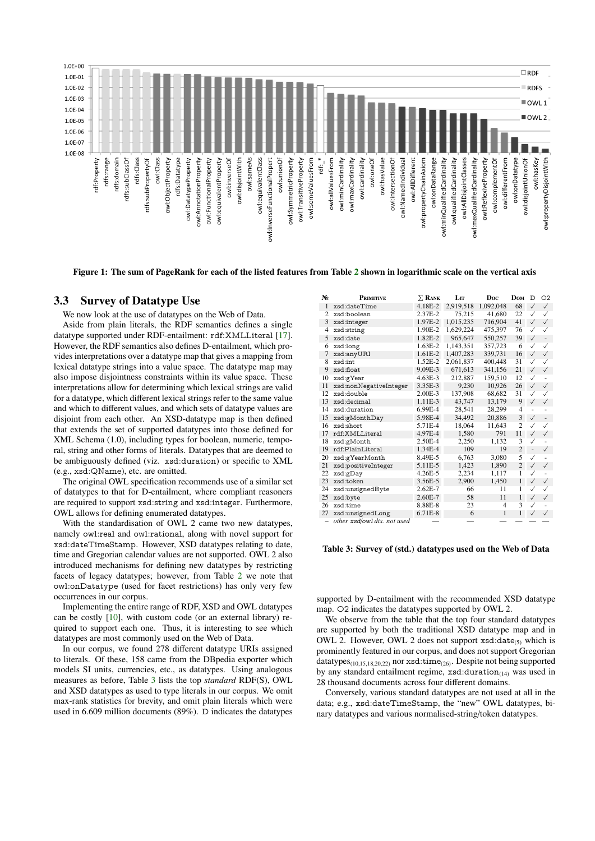

<span id="page-4-0"></span>Figure 1: The sum of PageRank for each of the listed features from Table [2](#page-3-0) shown in logarithmic scale on the vertical axis

#### 3.3 Survey of Datatype Use

We now look at the use of datatypes on the Web of Data.

Aside from plain literals, the RDF semantics defines a single datatype supported under RDF-entailment: rdf:XMLLiteral [\[17\]](#page-8-7). However, the RDF semantics also defines D-entailment, which provides interpretations over a datatype map that gives a mapping from lexical datatype strings into a value space. The datatype map may also impose disjointness constraints within its value space. These interpretations allow for determining which lexical strings are valid for a datatype, which different lexical strings refer to the same value and which to different values, and which sets of datatype values are disjoint from each other. An XSD-datatype map is then defined that extends the set of supported datatypes into those defined for XML Schema (1.0), including types for boolean, numeric, temporal, string and other forms of literals. Datatypes that are deemed to be ambiguously defined (viz. xsd:duration) or specific to XML (e.g., xsd:QName), etc. are omitted.

The original OWL specification recommends use of a similar set of datatypes to that for D-entailment, where compliant reasoners are required to support xsd:string and xsd:integer. Furthermore, OWL allows for defining enumerated datatypes.

With the standardisation of OWL 2 came two new datatypes, namely owl:real and owl:rational, along with novel support for xsd:dateTimeStamp. However, XSD datatypes relating to date, time and Gregorian calendar values are not supported. OWL 2 also introduced mechanisms for defining new datatypes by restricting facets of legacy datatypes; however, from Table [2](#page-3-0) we note that owl:onDatatype (used for facet restrictions) has only very few occurrences in our corpus.

Implementing the entire range of RDF, XSD and OWL datatypes can be costly [\[10\]](#page-8-26), with custom code (or an external library) required to support each one. Thus, it is interesting to see which datatypes are most commonly used on the Web of Data.

In our corpus, we found 278 different datatype URIs assigned to literals. Of these, 158 came from the DBpedia exporter which models SI units, currencies, etc., as datatypes. Using analogous measures as before, Table [3](#page-4-1) lists the top *standard* RDF(S), OWL and XSD datatypes as used to type literals in our corpus. We omit max-rank statistics for brevity, and omit plain literals which were used in 6.609 million documents (89%). D indicates the datatypes

| No             | <b>PRIMITIVE</b>            | $\Sigma$ RANK | LIT       | Doc            | <b>Dom</b>     | D              | O <sub>2</sub> |
|----------------|-----------------------------|---------------|-----------|----------------|----------------|----------------|----------------|
| 1              | xsd:dateTime                | $4.18E - 2$   | 2,919,518 | 1,092,048      | 68             | $\checkmark$   | $\checkmark$   |
| $\overline{c}$ | xsd:boolean                 | 2.37E-2       | 75,215    | 41.680         | 22             | $\checkmark$   | ✓              |
| 3              | xsd:integer                 | 1.97E-2       | 1,015,235 | 716,904        | 41             | $\checkmark$   | $\checkmark$   |
| 4              | xsd:string                  | 1.90E-2       | 1,629,224 | 475,397        | 76             | $\checkmark$   | ✓              |
| 5              | xsd:date                    | 1.82E-2       | 965.647   | 550,257        | 39             | $\checkmark$   |                |
| 6              | xsd:long                    | 1.63E-2       | 1,143,351 | 357,723        | 6              | ✓              | ✓              |
| 7              | xsd:anyURI                  | $1.61E-2$     | 1,407,283 | 339.731        | 16             | $\checkmark$   | $\checkmark$   |
| 8              | xsd:int                     | 1.52E-2       | 2,061,837 | 400,448        | 31             | ✓              | ✓              |
| 9              | xsd:float                   | 9.09E-3       | 671,613   | 341,156        | 21             | $\checkmark$   | $\checkmark$   |
| 10             | xsd:gYear                   | $4.63E - 3$   | 212,887   | 159,510        | 12             | ✓              |                |
| 11             | xsd:nonNegativeInteger      | 3.35E-3       | 9,230     | 10,926         | 26             | $\checkmark$   | $\checkmark$   |
| 12             | xsd:double                  | 2.00E-3       | 137,908   | 68.682         | 31             | ✓              | ✓              |
| 13             | xsd:decimal                 | $1.11E-3$     | 43,747    | 13,179         | 9              | $\checkmark$   | ✓              |
| 14             | xsd:duration                | 6.99E-4       | 28.541    | 28,299         | $\overline{4}$ |                |                |
| 15             | xsd:gMonthDay               | 5.98E-4       | 34,492    | 20,886         | 3              | $\checkmark$   | ÷,             |
| 16             | xsd:short                   | 5.71E-4       | 18,064    | 11,643         | $\overline{2}$ | ✓              | ✓              |
| 17             | rdf:XMLLiteral              | 4.97E-4       | 1.580     | 791            | 11             | $\checkmark$   | $\checkmark$   |
| 18             | xsd:gMonth                  | 2.50E-4       | 2,250     | 1.132          | 3              | ✓              |                |
| 19             | rdf:PlainLiteral            | 1.34E-4       | 109       | 19             | $\overline{2}$ | $\overline{a}$ | $\checkmark$   |
| 20             | xsd:gYearMonth              | 8.49E-5       | 6,763     | 3.080          | 5              | ✓              |                |
| 21             | xsd:positiveInteger         | 5.11E-5       | 1.423     | 1,890          | $\overline{2}$ | $\checkmark$   | $\checkmark$   |
| 22             | xsd:gDay                    | 4.26E-5       | 2.234     | 1,117          | 1              | ✓              | ÷,             |
| 23             | xsd:token                   | 3.56E-5       | 2,900     | 1,450          | 1              | $\checkmark$   | $\checkmark$   |
| 24             | xsd:unsignedByte            | 2.62E-7       | 66        | 11             | 1              | ✓              | ✓              |
| 25             | xsd:byte                    | 2.60E-7       | 58        | 11             | 1              | $\checkmark$   | $\checkmark$   |
| 26             | xsd:time                    | 8.88E-8       | 23        | $\overline{4}$ | 3              | ✓              |                |
| 27             | xsd:unsignedLong            | 6.71E-8       | 6         | $\mathbf{1}$   | $\mathbf{1}$   | $\checkmark$   | $\checkmark$   |
|                | other xsd/owl dts. not used |               |           |                |                |                |                |

<span id="page-4-1"></span>Table 3: Survey of (std.) datatypes used on the Web of Data

supported by D-entailment with the recommended XSD datatype map. O2 indicates the datatypes supported by OWL 2.

We observe from the table that the top four standard datatypes are supported by both the traditional XSD datatype map and in OWL 2. However, OWL 2 does not support  $xsd:date_{(5)}$  which is prominently featured in our corpus, and does not support Gregorian datatypes $_{(10,15,18,20,22)}$  nor xsd:time<sub>(26)</sub>. Despite not being supported by any standard entailment regime,  $xsd:duration_{(14)}$  was used in 28 thousand documents across four different domains.

Conversely, various standard datatypes are not used at all in the data; e.g., xsd:dateTimeStamp, the "new" OWL datatypes, binary datatypes and various normalised-string/token datatypes.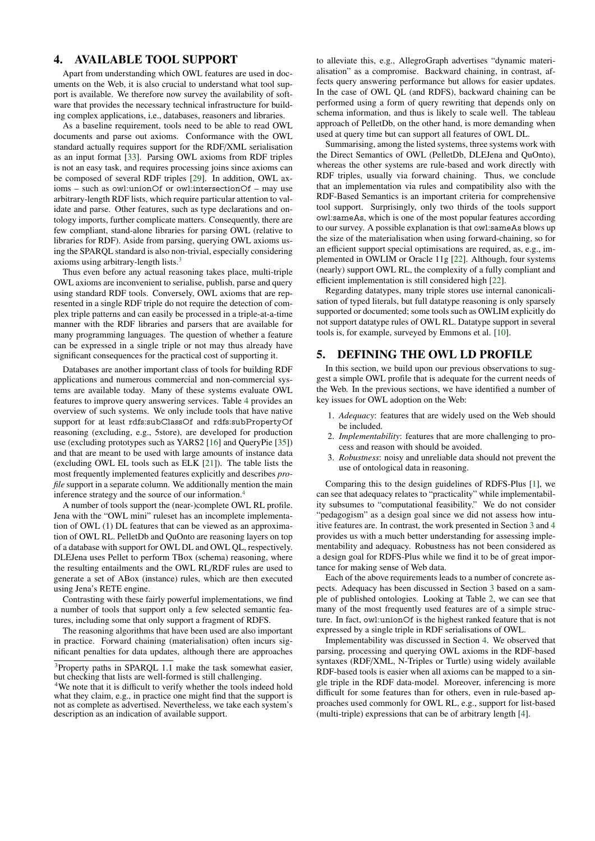## <span id="page-5-0"></span>4. AVAILABLE TOOL SUPPORT

Apart from understanding which OWL features are used in documents on the Web, it is also crucial to understand what tool support is available. We therefore now survey the availability of software that provides the necessary technical infrastructure for building complex applications, i.e., databases, reasoners and libraries.

As a baseline requirement, tools need to be able to read OWL documents and parse out axioms. Conformance with the OWL standard actually requires support for the RDF/XML serialisation as an input format [\[33\]](#page-8-17). Parsing OWL axioms from RDF triples is not an easy task, and requires processing joins since axioms can be composed of several RDF triples [\[29\]](#page-8-24). In addition, OWL axioms – such as owl:unionOf or owl:intersectionOf – may use arbitrary-length RDF lists, which require particular attention to validate and parse. Other features, such as type declarations and ontology imports, further complicate matters. Consequently, there are few compliant, stand-alone libraries for parsing OWL (relative to libraries for RDF). Aside from parsing, querying OWL axioms using the SPARQL standard is also non-trivial, especially considering axioms using arbitrary-length lists.[3](#page-5-2)

Thus even before any actual reasoning takes place, multi-triple OWL axioms are inconvenient to serialise, publish, parse and query using standard RDF tools. Conversely, OWL axioms that are represented in a single RDF triple do not require the detection of complex triple patterns and can easily be processed in a triple-at-a-time manner with the RDF libraries and parsers that are available for many programming languages. The question of whether a feature can be expressed in a single triple or not may thus already have significant consequences for the practical cost of supporting it.

Databases are another important class of tools for building RDF applications and numerous commercial and non-commercial systems are available today. Many of these systems evaluate OWL features to improve query answering services. Table [4](#page-6-1) provides an overview of such systems. We only include tools that have native support for at least rdfs:subClassOf and rdfs:subPropertyOf reasoning (excluding, e.g., 5store), are developed for production use (excluding prototypes such as YARS2 [\[16\]](#page-8-27) and QueryPie [\[35\]](#page-8-28)) and that are meant to be used with large amounts of instance data (excluding OWL EL tools such as ELK [\[21\]](#page-8-29)). The table lists the most frequently implemented features explicitly and describes *profile* support in a separate column. We additionally mention the main inference strategy and the source of our information.[4](#page-5-3)

A number of tools support the (near-)complete OWL RL profile. Jena with the "OWL mini" ruleset has an incomplete implementation of OWL (1) DL features that can be viewed as an approximation of OWL RL. PelletDb and QuOnto are reasoning layers on top of a database with support for OWL DL and OWL QL, respectively. DLEJena uses Pellet to perform TBox (schema) reasoning, where the resulting entailments and the OWL RL/RDF rules are used to generate a set of ABox (instance) rules, which are then executed using Jena's RETE engine.

Contrasting with these fairly powerful implementations, we find a number of tools that support only a few selected semantic features, including some that only support a fragment of RDFS.

The reasoning algorithms that have been used are also important in practice. Forward chaining (materialisation) often incurs significant penalties for data updates, although there are approaches

to alleviate this, e.g., AllegroGraph advertises "dynamic materialisation" as a compromise. Backward chaining, in contrast, affects query answering performance but allows for easier updates. In the case of OWL QL (and RDFS), backward chaining can be performed using a form of query rewriting that depends only on schema information, and thus is likely to scale well. The tableau approach of PelletDb, on the other hand, is more demanding when used at query time but can support all features of OWL DL.

Summarising, among the listed systems, three systems work with the Direct Semantics of OWL (PelletDb, DLEJena and QuOnto), whereas the other systems are rule-based and work directly with RDF triples, usually via forward chaining. Thus, we conclude that an implementation via rules and compatibility also with the RDF-Based Semantics is an important criteria for comprehensive tool support. Surprisingly, only two thirds of the tools support owl:sameAs, which is one of the most popular features according to our survey. A possible explanation is that owl:sameAs blows up the size of the materialisation when using forward-chaining, so for an efficient support special optimisations are required, as, e.g., implemented in OWLIM or Oracle 11g [\[22\]](#page-8-30). Although, four systems (nearly) support OWL RL, the complexity of a fully compliant and efficient implementation is still considered high [\[22\]](#page-8-30).

Regarding datatypes, many triple stores use internal canonicalisation of typed literals, but full datatype reasoning is only sparsely supported or documented; some tools such as OWLIM explicitly do not support datatype rules of OWL RL. Datatype support in several tools is, for example, surveyed by Emmons et al. [\[10\]](#page-8-26).

### <span id="page-5-1"></span>5. DEFINING THE OWL LD PROFILE

In this section, we build upon our previous observations to suggest a simple OWL profile that is adequate for the current needs of the Web. In the previous sections, we have identified a number of key issues for OWL adoption on the Web:

- 1. *Adequacy*: features that are widely used on the Web should be included.
- 2. *Implementability*: features that are more challenging to process and reason with should be avoided.
- 3. *Robustness*: noisy and unreliable data should not prevent the use of ontological data in reasoning.

Comparing this to the design guidelines of RDFS-Plus [\[1\]](#page-8-13), we can see that adequacy relates to "practicality" while implementability subsumes to "computational feasibility." We do not consider "pedagogism" as a design goal since we did not assess how intuitive features are. In contrast, the work presented in Section [3](#page-2-0) and [4](#page-5-0) provides us with a much better understanding for assessing implementability and adequacy. Robustness has not been considered as a design goal for RDFS-Plus while we find it to be of great importance for making sense of Web data.

Each of the above requirements leads to a number of concrete aspects. Adequacy has been discussed in Section [3](#page-2-0) based on a sample of published ontologies. Looking at Table [2,](#page-3-0) we can see that many of the most frequently used features are of a simple structure. In fact, owl:unionOf is the highest ranked feature that is not expressed by a single triple in RDF serialisations of OWL.

Implementability was discussed in Section [4.](#page-5-0) We observed that parsing, processing and querying OWL axioms in the RDF-based syntaxes (RDF/XML, N-Triples or Turtle) using widely available RDF-based tools is easier when all axioms can be mapped to a single triple in the RDF data-model. Moreover, inferencing is more difficult for some features than for others, even in rule-based approaches used commonly for OWL RL, e.g., support for list-based (multi-triple) expressions that can be of arbitrary length [\[4\]](#page-8-31).

<span id="page-5-2"></span><sup>&</sup>lt;sup>3</sup>Property paths in SPARQL 1.1 make the task somewhat easier, but checking that lists are well-formed is still challenging.

<span id="page-5-3"></span><sup>4</sup>We note that it is difficult to verify whether the tools indeed hold what they claim, e.g., in practice one might find that the support is not as complete as advertised. Nevertheless, we take each system's description as an indication of available support.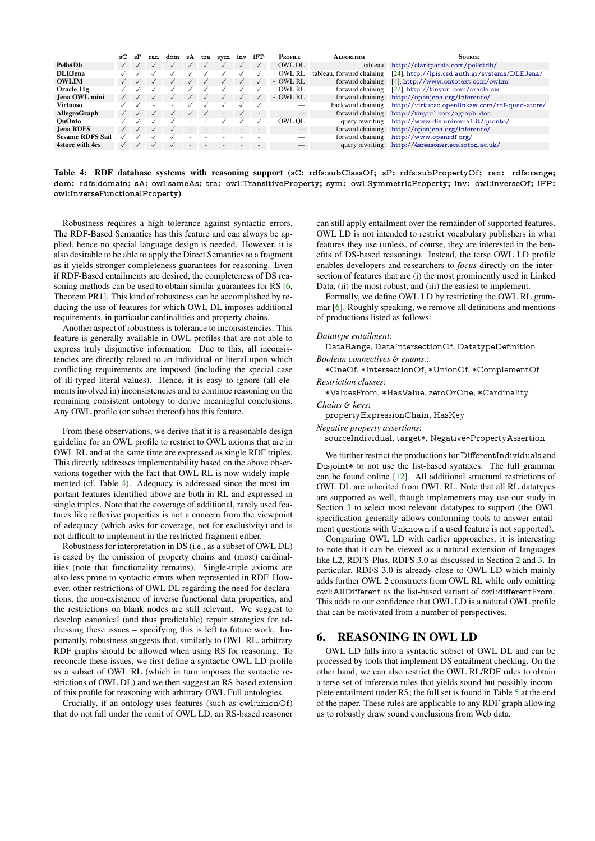|                         | sC | sP | ran | dom | sA                       | tra       | sym            | inv | iFP       | <b>PROFILE</b>                      | <b>ALGORITHM</b>  | SOURCE                                         |
|-------------------------|----|----|-----|-----|--------------------------|-----------|----------------|-----|-----------|-------------------------------------|-------------------|------------------------------------------------|
| PelletDb                |    |    |     |     |                          |           |                |     |           | OWL DL                              | tableau           | http://clarkparsia.com/pelletdb/               |
| DLE, Jena               |    |    |     |     |                          |           |                |     |           | OWL RL<br>tableau, forward chaining |                   | [24], http://lpis.csd.auth.gr/systems/DLEJena/ |
| <b>OWLIM</b>            |    |    |     |     |                          |           |                |     | $\sqrt{}$ | $\sim$ OWL RL                       | forward chaining  | [4], http://www.ontotext.com/owlim             |
| Oracle 11g              |    |    |     |     |                          |           |                |     | $\sqrt{}$ | OWL RL                              | forward chaining  | [22], http://tinyurl.com/oracle-sw             |
| Jena OWL mini           |    |    |     |     |                          |           |                |     |           | $\sim$ OWL RL                       | forward chaining  | http://openjena.org/inference/                 |
| Virtuoso                |    |    |     |     |                          |           |                |     |           |                                     | backward chaining | http://virtuoso.openlinksw.com/rdf-quad-store/ |
| AllegroGraph            |    |    |     |     |                          | $\sqrt{}$ | $\overline{a}$ |     | $\sim$    |                                     | forward chaining  | http://tinyurl.com/agraph-doc                  |
| <b>OuOnto</b>           |    |    |     |     |                          |           |                |     |           | OWL OL                              | query rewriting   | http://www.dis.uniroma1.it/quonto/             |
| <b>Jena RDFS</b>        |    |    |     |     | $\overline{\phantom{a}}$ |           |                |     |           |                                     | forward chaining  | http://openjena.org/inference/                 |
| <b>Sesame RDFS Sail</b> |    |    |     |     |                          |           |                |     |           |                                     | forward chaining  | http://www.openrdf.org/                        |
| 4store with 4rs         |    |    |     |     | $\overline{\phantom{a}}$ |           |                |     |           |                                     | query rewriting   | http://4sreasoner.ecs.soton.ac.uk/             |

<span id="page-6-1"></span>Table 4: RDF database systems with reasoning support (sC: rdfs:subClassOf; sP: rdfs:subPropertyOf; ran: rdfs:range; dom: rdfs:domain; sA: owl:sameAs; tra: owl:TransitiveProperty; sym: owl:SymmetricProperty; inv: owl:inverseOf; iFP: owl:InverseFunctionalProperty)

Robustness requires a high tolerance against syntactic errors. The RDF-Based Semantics has this feature and can always be applied, hence no special language design is needed. However, it is also desirable to be able to apply the Direct Semantics to a fragment as it yields stronger completeness guarantees for reasoning. Even if RDF-Based entailments are desired, the completeness of DS reasoning methods can be used to obtain similar guarantees for RS [6, Theorem PR1]. This kind of robustness can be accomplished by reducing the use of features for which OWL DL imposes additional requirements, in particular cardinalities and property chains.

Another aspect of robustness is tolerance to inconsistencies. This feature is generally available in OWL profiles that are not able to express truly disjunctive information. Due to this, all inconsistencies are directly related to an individual or literal upon which conflicting requirements are imposed (including the special case of ill-typed literal values). Hence, it is easy to ignore (all elements involved in) inconsistencies and to continue reasoning on the remaining consistent ontology to derive meaningful conclusions. Any OWL profile (or subset thereof) has this feature.

From these observations, we derive that it is a reasonable design guideline for an OWL profile to restrict to OWL axioms that are in OWL RL and at the same time are expressed as single RDF triples. This directly addresses implementability based on the above observations together with the fact that OWL RL is now widely implemented (cf. Table 4). Adequacy is addressed since the most important features identified above are both in RL and expressed in single triples. Note that the coverage of additional, rarely used features like reflexive properties is not a concern from the viewpoint of adequacy (which asks for coverage, not for exclusivity) and is not difficult to implement in the restricted fragment either.

Robustness for interpretation in DS (i.e., as a subset of OWL DL) is eased by the omission of property chains and (most) cardinalities (note that functionality remains). Single-triple axioms are also less prone to syntactic errors when represented in RDF. However, other restrictions of OWL DL regarding the need for declarations, the non-existence of inverse functional data properties, and the restrictions on blank nodes are still relevant. We suggest to develop canonical (and thus predictable) repair strategies for addressing these issues – specifying this is left to future work. Importantly, robustness suggests that, similarly to OWL RL, arbitrary RDF graphs should be allowed when using RS for reasoning. To reconcile these issues, we first define a syntactic OWL LD profile as a subset of OWL RL (which in turn imposes the syntactic restrictions of OWL DL) and we then suggest an RS-based extension of this profile for reasoning with arbitrary OWL Full ontologies.

Crucially, if an ontology uses features (such as owl:unionOf) that do not fall under the remit of OWL LD, an RS-based reasoner can still apply entailment over the remainder of supported features. OWL LD is not intended to restrict vocabulary publishers in what features they use (unless, of course, they are interested in the benefits of DS-based reasoning). Instead, the terse OWL LD profile enables developers and researchers to *focus* directly on the intersection of features that are (i) the most prominently used in Linked Data, (ii) the most robust, and (iii) the easiest to implement.

Formally, we define OWL LD by restricting the OWL RL grammar [6]. Roughly speaking, we remove all definitions and mentions of productions listed as follows:

#### Datatype entailment:

DataRange, DataIntersectionOf, DatatypeDefinition Boolean connectives & enums.:

\*OneOf, \*IntersectionOf, \*UnionOf, \*ComplementOf Restriction classes

\*ValuesFrom, \*HasValue, zeroOrOne, \*Cardinality

#### Chains & keys:

propertyExpressionChain, HasKey

Negative property assertions:

sourceIndividual, target\*, Negative\*PropertyAssertion

We further restrict the productions for DifferentIndividuals and Disjoint\* to not use the list-based syntaxes. The full grammar can be found online [12]. All additional structural restrictions of OWL DL are inherited from OWL RL. Note that all RL datatypes are supported as well, though implementers may use our study in Section 3 to select most relevant datatypes to support (the OWL specification generally allows conforming tools to answer entailment questions with Unknown if a used feature is not supported).

Comparing OWL LD with earlier approaches, it is interesting to note that it can be viewed as a natural extension of languages like L2, RDFS-Plus, RDFS 3.0 as discussed in Section 2 and 3. In particular, RDFS 3.0 is already close to OWL LD which mainly adds further OWL 2 constructs from OWL RL while only omitting owl:AllDifferent as the list-based variant of owl:differentFrom. This adds to our confidence that OWL LD is a natural OWL profile that can be motivated from a number of perspectives.

#### <span id="page-6-0"></span>**REASONING IN OWL LD** 6.

OWL LD falls into a syntactic subset of OWL DL and can be processed by tools that implement DS entailment checking. On the other hand, we can also restrict the OWL RL/RDF rules to obtain a terse set of inference rules that yields sound but possibly incomplete entailment under RS; the full set is found in Table 5 at the end of the paper. These rules are applicable to any RDF graph allowing us to robustly draw sound conclusions from Web data.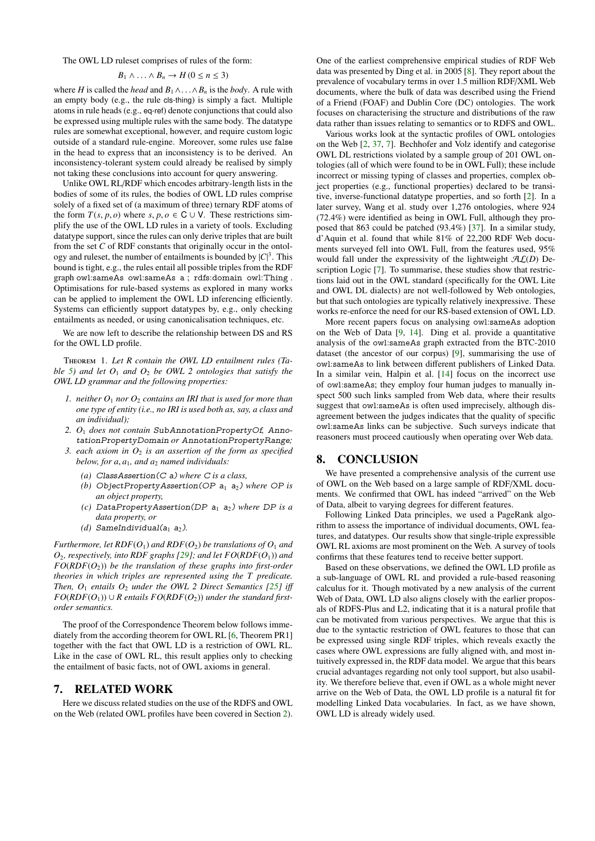The OWL LD ruleset comprises of rules of the form:

$$
B_1 \wedge \ldots \wedge B_n \to H \, (0 \leq n \leq 3)
$$

where *H* is called the *head* and  $B_1 \wedge \ldots \wedge B_n$  is the *body*. A rule with an empty body (e.g., the rule cls-thing) is simply a fact. Multiple an empty body (e.g., the rule cls-thing) is simply a fact. Multiple atoms in rule heads (e.g., eq-ref) denote conjunctions that could also be expressed using multiple rules with the same body. The datatype rules are somewhat exceptional, however, and require custom logic outside of a standard rule-engine. Moreover, some rules use false in the head to express that an inconsistency is to be derived. An inconsistency-tolerant system could already be realised by simply not taking these conclusions into account for query answering.

Unlike OWL RL/RDF which encodes arbitrary-length lists in the bodies of some of its rules, the bodies of OWL LD rules comprise solely of a fixed set of (a maximum of three) ternary RDF atoms of the form  $T(s, p, o)$  where  $s, p, o \in \mathbb{C} \cup \mathbb{V}$ . These restrictions simplify the use of the OWL LD rules in a variety of tools. Excluding datatype support, since the rules can only derive triples that are built from the set *C* of RDF constants that originally occur in the ontology and ruleset, the number of entailments is bounded by  $|C|^3$ . This bound is tight, e.g., the rules entail all possible triples from the RDF graph owl:sameAs owl:sameAs a ; rdfs:domain owl:Thing . Optimisations for rule-based systems as explored in many works can be applied to implement the OWL LD inferencing efficiently. Systems can efficiently support datatypes by, e.g., only checking entailments as needed, or using canonicalisation techniques, etc.

We are now left to describe the relationship between DS and RS for the OWL LD profile.

Theorem 1. *Let R contain the OWL LD entailment rules (Table* [5\)](#page-9-0) and let  $O_1$  *and*  $O_2$  *be OWL 2 ontologies that satisfy the OWL LD grammar and the following properties:*

- *1. neither O*<sup>1</sup> *nor O*<sup>2</sup> *contains an IRI that is used for more than one type of entity (i.e., no IRI is used both as, say, a class and an individual);*
- *2. O*<sup>1</sup> *does not contain* SubAnnotationPropertyOf*,* AnnotationPropertyDomain *or* AnnotationPropertyRange*;*
- *3. each axiom in O*<sup>2</sup> *is an assertion of the form as specified below, for a*, *<sup>a</sup>*1*, and a*<sup>2</sup> *named individuals:*
	- *(a)* ClassAssertion(C a) *where* C *is a class,*
	- *(b)* ObjectPropertyAssertion(OP  $a_1$   $a_2$ ) where OP is *an object property,*
	- *(c)* DataPropertyAssertion(DP  $a_1$   $a_2$ ) where DP is a *data property, or*
	- *(d)* SameIndividual( $a_1$   $a_2$ ).

*Furthermore, let RDF*( $O_1$ ) *and RDF*( $O_2$ ) *be translations of*  $O_1$  *and O*2*, respectively, into RDF graphs [\[29\]](#page-8-24); and let FO*(*RDF*(*O*1)) *and*  $FO(RDF(O_2))$  *be the translation of these graphs into first-order theories in which triples are represented using the T predicate. Then, O*<sup>1</sup> *entails O*<sup>2</sup> *under the OWL 2 Direct Semantics [\[25\]](#page-8-16) i*ff *FO*( $RDF(O_1)$ ) ∪ *R* entails  $FO(RDF(O_2))$  *under the standard firstorder semantics.*

The proof of the Correspondence Theorem below follows immediately from the according theorem for OWL RL [\[6,](#page-8-3) Theorem PR1] together with the fact that OWL LD is a restriction of OWL RL. Like in the case of OWL RL, this result applies only to checking the entailment of basic facts, not of OWL axioms in general.

#### <span id="page-7-0"></span>7. RELATED WORK

Here we discuss related studies on the use of the RDFS and OWL on the Web (related OWL profiles have been covered in Section [2\)](#page-1-2).

One of the earliest comprehensive empirical studies of RDF Web data was presented by Ding et al. in 2005 [\[8\]](#page-8-34). They report about the prevalence of vocabulary terms in over 1.5 million RDF/XML Web documents, where the bulk of data was described using the Friend of a Friend (FOAF) and Dublin Core (DC) ontologies. The work focuses on characterising the structure and distributions of the raw data rather than issues relating to semantics or to RDFS and OWL.

Various works look at the syntactic profiles of OWL ontologies on the Web [\[2,](#page-8-4) [37,](#page-8-5) [7\]](#page-8-6). Bechhofer and Volz identify and categorise OWL DL restrictions violated by a sample group of 201 OWL ontologies (all of which were found to be in OWL Full); these include incorrect or missing typing of classes and properties, complex object properties (e.g., functional properties) declared to be transitive, inverse-functional datatype properties, and so forth [\[2\]](#page-8-4). In a later survey, Wang et al. study over 1,276 ontologies, where 924 (72.4%) were identified as being in OWL Full, although they proposed that 863 could be patched (93.4%) [\[37\]](#page-8-5). In a similar study, d'Aquin et al. found that while 81% of 22,200 RDF Web documents surveyed fell into OWL Full, from the features used, 95% would fall under the expressivity of the lightweight AL(*D*) Description Logic [\[7\]](#page-8-6). To summarise, these studies show that restrictions laid out in the OWL standard (specifically for the OWL Lite and OWL DL dialects) are not well-followed by Web ontologies, but that such ontologies are typically relatively inexpressive. These works re-enforce the need for our RS-based extension of OWL LD.

More recent papers focus on analysing owl:sameAs adoption on the Web of Data [\[9,](#page-8-35) [14\]](#page-8-36). Ding et al. provide a quantitative analysis of the owl:sameAs graph extracted from the BTC-2010 dataset (the ancestor of our corpus) [\[9\]](#page-8-35), summarising the use of owl:sameAs to link between different publishers of Linked Data. In a similar vein, Halpin et al. [\[14\]](#page-8-36) focus on the incorrect use of owl:sameAs; they employ four human judges to manually inspect 500 such links sampled from Web data, where their results suggest that owl:sameAs is often used imprecisely, although disagreement between the judges indicates that the quality of specific owl:sameAs links can be subjective. Such surveys indicate that reasoners must proceed cautiously when operating over Web data.

#### <span id="page-7-1"></span>8. CONCLUSION

We have presented a comprehensive analysis of the current use of OWL on the Web based on a large sample of RDF/XML documents. We confirmed that OWL has indeed "arrived" on the Web of Data, albeit to varying degrees for different features.

Following Linked Data principles, we used a PageRank algorithm to assess the importance of individual documents, OWL features, and datatypes. Our results show that single-triple expressible OWL RL axioms are most prominent on the Web. A survey of tools confirms that these features tend to receive better support.

Based on these observations, we defined the OWL LD profile as a sub-language of OWL RL and provided a rule-based reasoning calculus for it. Though motivated by a new analysis of the current Web of Data, OWL LD also aligns closely with the earlier proposals of RDFS-Plus and L2, indicating that it is a natural profile that can be motivated from various perspectives. We argue that this is due to the syntactic restriction of OWL features to those that can be expressed using single RDF triples, which reveals exactly the cases where OWL expressions are fully aligned with, and most intuitively expressed in, the RDF data model. We argue that this bears crucial advantages regarding not only tool support, but also usability. We therefore believe that, even if OWL as a whole might never arrive on the Web of Data, the OWL LD profile is a natural fit for modelling Linked Data vocabularies. In fact, as we have shown, OWL LD is already widely used.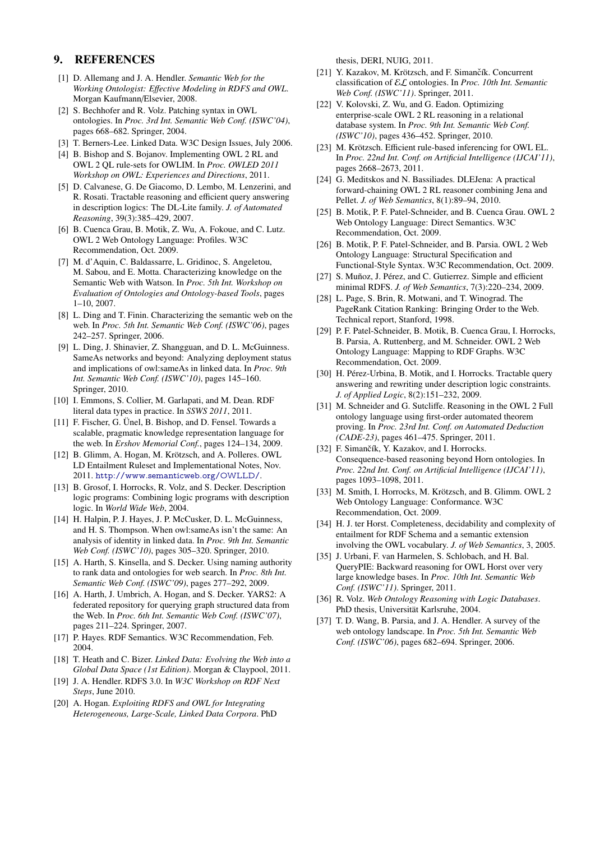## 9. REFERENCES

- <span id="page-8-13"></span>[1] D. Allemang and J. A. Hendler. *Semantic Web for the Working Ontologist: E*ff*ective Modeling in RDFS and OWL*. Morgan Kaufmann/Elsevier, 2008.
- <span id="page-8-4"></span>[2] S. Bechhofer and R. Volz. Patching syntax in OWL ontologies. In *Proc. 3rd Int. Semantic Web Conf. (ISWC'04)*, pages 668–682. Springer, 2004.
- <span id="page-8-0"></span>[3] T. Berners-Lee. Linked Data. W3C Design Issues, July 2006.
- <span id="page-8-31"></span>[4] B. Bishop and S. Bojanov. Implementing OWL 2 RL and OWL 2 QL rule-sets for OWLIM. In *Proc. OWLED 2011 Workshop on OWL: Experiences and Directions*, 2011.
- <span id="page-8-10"></span>[5] D. Calvanese, G. De Giacomo, D. Lembo, M. Lenzerini, and R. Rosati. Tractable reasoning and efficient query answering in description logics: The DL-Lite family. *J. of Automated Reasoning*, 39(3):385–429, 2007.
- <span id="page-8-3"></span>[6] B. Cuenca Grau, B. Motik, Z. Wu, A. Fokoue, and C. Lutz. OWL 2 Web Ontology Language: Profiles. W3C Recommendation, Oct. 2009.
- <span id="page-8-6"></span>[7] M. d'Aquin, C. Baldassarre, L. Gridinoc, S. Angeletou, M. Sabou, and E. Motta. Characterizing knowledge on the Semantic Web with Watson. In *Proc. 5th Int. Workshop on Evaluation of Ontologies and Ontology-based Tools*, pages  $1-10, 2007$
- <span id="page-8-34"></span>[8] L. Ding and T. Finin. Characterizing the semantic web on the web. In *Proc. 5th Int. Semantic Web Conf. (ISWC'06)*, pages 242–257. Springer, 2006.
- <span id="page-8-35"></span>[9] L. Ding, J. Shinavier, Z. Shangguan, and D. L. McGuinness. SameAs networks and beyond: Analyzing deployment status and implications of owl:sameAs in linked data. In *Proc. 9th Int. Semantic Web Conf. (ISWC'10)*, pages 145–160. Springer, 2010.
- <span id="page-8-26"></span>[10] I. Emmons, S. Collier, M. Garlapati, and M. Dean. RDF literal data types in practice. In *SSWS 2011*, 2011.
- <span id="page-8-15"></span>[11] F. Fischer, G. Ünel, B. Bishop, and D. Fensel. Towards a scalable, pragmatic knowledge representation language for the web. In *Ershov Memorial Conf.*, pages 124–134, 2009.
- <span id="page-8-33"></span>[12] B. Glimm, A. Hogan, M. Krötzsch, and A. Polleres. OWL LD Entailment Ruleset and Implementational Notes, Nov. 2011. <http://www.semanticweb.org/OWLLD/>.
- <span id="page-8-11"></span>[13] B. Grosof, I. Horrocks, R. Volz, and S. Decker. Description logic programs: Combining logic programs with description logic. In *World Wide Web*, 2004.
- <span id="page-8-36"></span>[14] H. Halpin, P. J. Hayes, J. P. McCusker, D. L. McGuinness, and H. S. Thompson. When owl:sameAs isn't the same: An analysis of identity in linked data. In *Proc. 9th Int. Semantic Web Conf. (ISWC'10)*, pages 305–320. Springer, 2010.
- <span id="page-8-23"></span>[15] A. Harth, S. Kinsella, and S. Decker. Using naming authority to rank data and ontologies for web search. In *Proc. 8th Int. Semantic Web Conf. (ISWC'09)*, pages 277–292, 2009.
- <span id="page-8-27"></span>[16] A. Harth, J. Umbrich, A. Hogan, and S. Decker. YARS2: A federated repository for querying graph structured data from the Web. In *Proc. 6th Int. Semantic Web Conf. (ISWC'07)*, pages 211–224. Springer, 2007.
- <span id="page-8-7"></span>[17] P. Hayes. RDF Semantics. W3C Recommendation, Feb. 2004.
- <span id="page-8-1"></span>[18] T. Heath and C. Bizer. *Linked Data: Evolving the Web into a Global Data Space (1st Edition)*. Morgan & Claypool, 2011.
- <span id="page-8-14"></span>[19] J. A. Hendler. RDFS 3.0. In *W3C Workshop on RDF Next Steps*, June 2010.
- <span id="page-8-21"></span>[20] A. Hogan. *Exploiting RDFS and OWL for Integrating Heterogeneous, Large-Scale, Linked Data Corpora*. PhD

thesis, DERI, NUIG, 2011.

- <span id="page-8-29"></span>[21] Y. Kazakov, M. Krötzsch, and F. Simančík. Concurrent classification of EL ontologies. In *Proc. 10th Int. Semantic Web Conf. (ISWC'11)*. Springer, 2011.
- <span id="page-8-30"></span>[22] V. Kolovski, Z. Wu, and G. Eadon. Optimizing enterprise-scale OWL 2 RL reasoning in a relational database system. In *Proc. 9th Int. Semantic Web Conf. (ISWC'10)*, pages 436–452. Springer, 2010.
- <span id="page-8-9"></span>[23] M. Krötzsch. Efficient rule-based inferencing for OWL EL. In *Proc. 22nd Int. Conf. on Artificial Intelligence (IJCAI'11)*, pages 2668–2673, 2011.
- <span id="page-8-32"></span>[24] G. Meditskos and N. Bassiliades. DLEJena: A practical forward-chaining OWL 2 RL reasoner combining Jena and Pellet. *J. of Web Semantics*, 8(1):89–94, 2010.
- <span id="page-8-16"></span>[25] B. Motik, P. F. Patel-Schneider, and B. Cuenca Grau. OWL 2 Web Ontology Language: Direct Semantics. W3C Recommendation, Oct. 2009.
- <span id="page-8-8"></span>[26] B. Motik, P. F. Patel-Schneider, and B. Parsia. OWL 2 Web Ontology Language: Structural Specification and Functional-Style Syntax. W3C Recommendation, Oct. 2009.
- <span id="page-8-2"></span>[27] S. Muñoz, J. Pérez, and C. Gutierrez. Simple and efficient minimal RDFS. *J. of Web Semantics*, 7(3):220–234, 2009.
- <span id="page-8-22"></span>[28] L. Page, S. Brin, R. Motwani, and T. Winograd. The PageRank Citation Ranking: Bringing Order to the Web. Technical report, Stanford, 1998.
- <span id="page-8-24"></span>[29] P. F. Patel-Schneider, B. Motik, B. Cuenca Grau, I. Horrocks, B. Parsia, A. Ruttenberg, and M. Schneider. OWL 2 Web Ontology Language: Mapping to RDF Graphs. W3C Recommendation, Oct. 2009.
- <span id="page-8-19"></span>[30] H. Pérez-Urbina, B. Motik, and I. Horrocks. Tractable query answering and rewriting under description logic constraints. *J. of Applied Logic*, 8(2):151–232, 2009.
- <span id="page-8-20"></span>[31] M. Schneider and G. Sutcliffe. Reasoning in the OWL 2 Full ontology language using first-order automated theorem proving. In *Proc. 23rd Int. Conf. on Automated Deduction (CADE-23)*, pages 461–475. Springer, 2011.
- <span id="page-8-18"></span>[32] F. Simančík, Y. Kazakov, and I. Horrocks. Consequence-based reasoning beyond Horn ontologies. In *Proc. 22nd Int. Conf. on Artificial Intelligence (IJCAI'11)*, pages 1093–1098, 2011.
- <span id="page-8-17"></span>[33] M. Smith, I. Horrocks, M. Krötzsch, and B. Glimm. OWL 2 Web Ontology Language: Conformance. W3C Recommendation, Oct. 2009.
- <span id="page-8-12"></span>[34] H. J. ter Horst. Completeness, decidability and complexity of entailment for RDF Schema and a semantic extension involving the OWL vocabulary. *J. of Web Semantics*, 3, 2005.
- <span id="page-8-28"></span>[35] J. Urbani, F. van Harmelen, S. Schlobach, and H. Bal. QueryPIE: Backward reasoning for OWL Horst over very large knowledge bases. In *Proc. 10th Int. Semantic Web Conf. (ISWC'11)*. Springer, 2011.
- <span id="page-8-25"></span>[36] R. Volz. *Web Ontology Reasoning with Logic Databases*. PhD thesis, Universität Karlsruhe, 2004.
- <span id="page-8-5"></span>[37] T. D. Wang, B. Parsia, and J. A. Hendler. A survey of the web ontology landscape. In *Proc. 5th Int. Semantic Web Conf. (ISWC'06)*, pages 682–694. Springer, 2006.